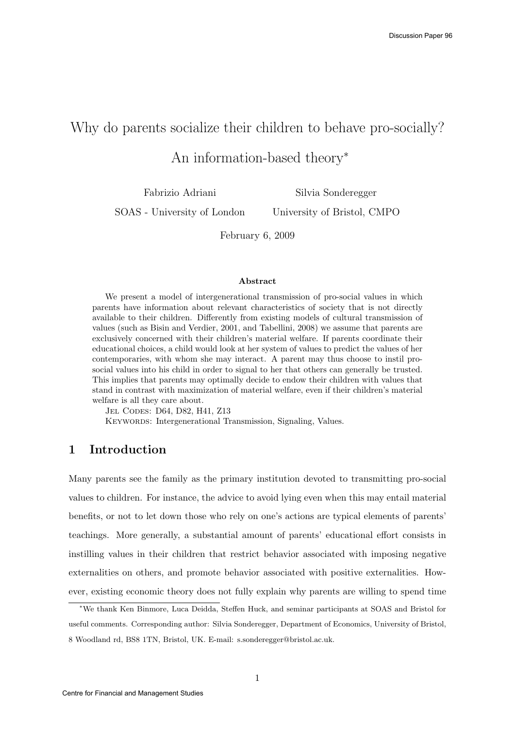# Why do parents socialize their children to behave pro-socially?

An information-based theory<sup>∗</sup>

Fabrizio Adriani

Silvia Sonderegger

SOAS - University of London

University of Bristol, CMPO

February 6, 2009

#### Abstract

We present a model of intergenerational transmission of pro-social values in which parents have information about relevant characteristics of society that is not directly available to their children. Differently from existing models of cultural transmission of values (such as Bisin and Verdier, 2001, and Tabellini, 2008) we assume that parents are exclusively concerned with their children's material welfare. If parents coordinate their educational choices, a child would look at her system of values to predict the values of her contemporaries, with whom she may interact. A parent may thus choose to instil prosocial values into his child in order to signal to her that others can generally be trusted. This implies that parents may optimally decide to endow their children with values that stand in contrast with maximization of material welfare, even if their children's material welfare is all they care about.

Jel Codes: D64, D82, H41, Z13

KEYWORDS: Intergenerational Transmission, Signaling, Values.

### 1 Introduction

Many parents see the family as the primary institution devoted to transmitting pro-social values to children. For instance, the advice to avoid lying even when this may entail material benefits, or not to let down those who rely on one's actions are typical elements of parents' teachings. More generally, a substantial amount of parents' educational effort consists in instilling values in their children that restrict behavior associated with imposing negative externalities on others, and promote behavior associated with positive externalities. However, existing economic theory does not fully explain why parents are willing to spend time

<sup>∗</sup>We thank Ken Binmore, Luca Deidda, Steffen Huck, and seminar participants at SOAS and Bristol for useful comments. Corresponding author: Silvia Sonderegger, Department of Economics, University of Bristol, 8 Woodland rd, BS8 1TN, Bristol, UK. E-mail: s.sonderegger@bristol.ac.uk.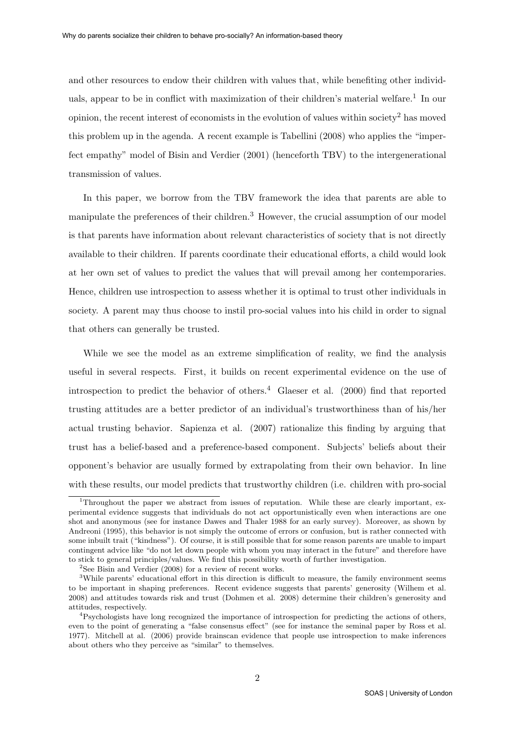and other resources to endow their children with values that, while benefiting other individuals, appear to be in conflict with maximization of their children's material welfare.<sup>1</sup> In our opinion, the recent interest of economists in the evolution of values within society<sup>2</sup> has moved this problem up in the agenda. A recent example is Tabellini (2008) who applies the "imperfect empathy" model of Bisin and Verdier (2001) (henceforth TBV) to the intergenerational transmission of values.

In this paper, we borrow from the TBV framework the idea that parents are able to manipulate the preferences of their children.<sup>3</sup> However, the crucial assumption of our model is that parents have information about relevant characteristics of society that is not directly available to their children. If parents coordinate their educational efforts, a child would look at her own set of values to predict the values that will prevail among her contemporaries. Hence, children use introspection to assess whether it is optimal to trust other individuals in society. A parent may thus choose to instil pro-social values into his child in order to signal that others can generally be trusted.

While we see the model as an extreme simplification of reality, we find the analysis useful in several respects. First, it builds on recent experimental evidence on the use of introspection to predict the behavior of others.<sup>4</sup> Glaeser et al.  $(2000)$  find that reported trusting attitudes are a better predictor of an individual's trustworthiness than of his/her actual trusting behavior. Sapienza et al. (2007) rationalize this finding by arguing that trust has a belief-based and a preference-based component. Subjects' beliefs about their opponent's behavior are usually formed by extrapolating from their own behavior. In line with these results, our model predicts that trustworthy children (i.e. children with pro-social

<sup>&</sup>lt;sup>1</sup>Throughout the paper we abstract from issues of reputation. While these are clearly important, experimental evidence suggests that individuals do not act opportunistically even when interactions are one shot and anonymous (see for instance Dawes and Thaler 1988 for an early survey). Moreover, as shown by Andreoni (1995), this behavior is not simply the outcome of errors or confusion, but is rather connected with some inbuilt trait ("kindness"). Of course, it is still possible that for some reason parents are unable to impart contingent advice like "do not let down people with whom you may interact in the future" and therefore have to stick to general principles/values. We find this possibility worth of further investigation.

 $2$ See Bisin and Verdier (2008) for a review of recent works.

<sup>&</sup>lt;sup>3</sup>While parents' educational effort in this direction is difficult to measure, the family environment seems to be important in shaping preferences. Recent evidence suggests that parents' generosity (Wilhem et al. 2008) and attitudes towards risk and trust (Dohmen et al. 2008) determine their children's generosity and attitudes, respectively.

<sup>4</sup>Psychologists have long recognized the importance of introspection for predicting the actions of others, even to the point of generating a "false consensus effect" (see for instance the seminal paper by Ross et al. 1977). Mitchell at al. (2006) provide brainscan evidence that people use introspection to make inferences about others who they perceive as "similar" to themselves.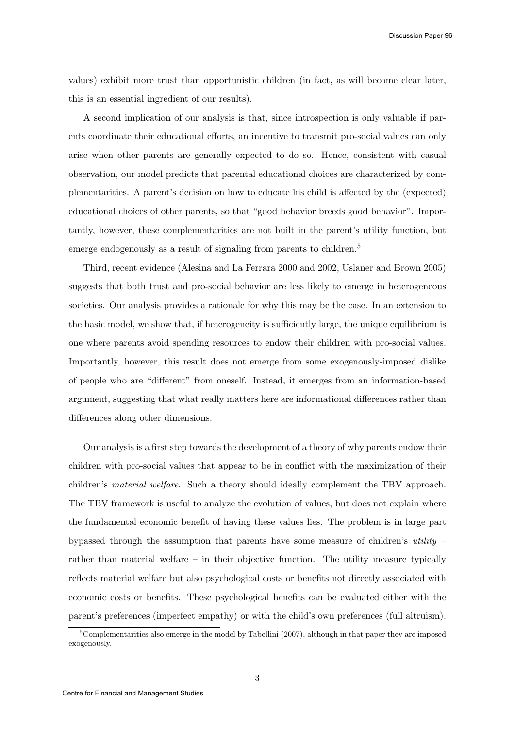Discussion Paper 96

values) exhibit more trust than opportunistic children (in fact, as will become clear later, this is an essential ingredient of our results).

A second implication of our analysis is that, since introspection is only valuable if parents coordinate their educational efforts, an incentive to transmit pro-social values can only arise when other parents are generally expected to do so. Hence, consistent with casual observation, our model predicts that parental educational choices are characterized by complementarities. A parent's decision on how to educate his child is affected by the (expected) educational choices of other parents, so that "good behavior breeds good behavior". Importantly, however, these complementarities are not built in the parent's utility function, but emerge endogenously as a result of signaling from parents to children.<sup>5</sup>

Third, recent evidence (Alesina and La Ferrara 2000 and 2002, Uslaner and Brown 2005) suggests that both trust and pro-social behavior are less likely to emerge in heterogeneous societies. Our analysis provides a rationale for why this may be the case. In an extension to the basic model, we show that, if heterogeneity is sufficiently large, the unique equilibrium is one where parents avoid spending resources to endow their children with pro-social values. Importantly, however, this result does not emerge from some exogenously-imposed dislike of people who are "different" from oneself. Instead, it emerges from an information-based argument, suggesting that what really matters here are informational differences rather than differences along other dimensions.

Our analysis is a first step towards the development of a theory of why parents endow their children with pro-social values that appear to be in conflict with the maximization of their children's material welfare. Such a theory should ideally complement the TBV approach. The TBV framework is useful to analyze the evolution of values, but does not explain where the fundamental economic benefit of having these values lies. The problem is in large part bypassed through the assumption that parents have some measure of children's utility – rather than material welfare – in their objective function. The utility measure typically reflects material welfare but also psychological costs or benefits not directly associated with economic costs or benefits. These psychological benefits can be evaluated either with the parent's preferences (imperfect empathy) or with the child's own preferences (full altruism).

 $5$ Complementarities also emerge in the model by Tabellini (2007), although in that paper they are imposed exogenously.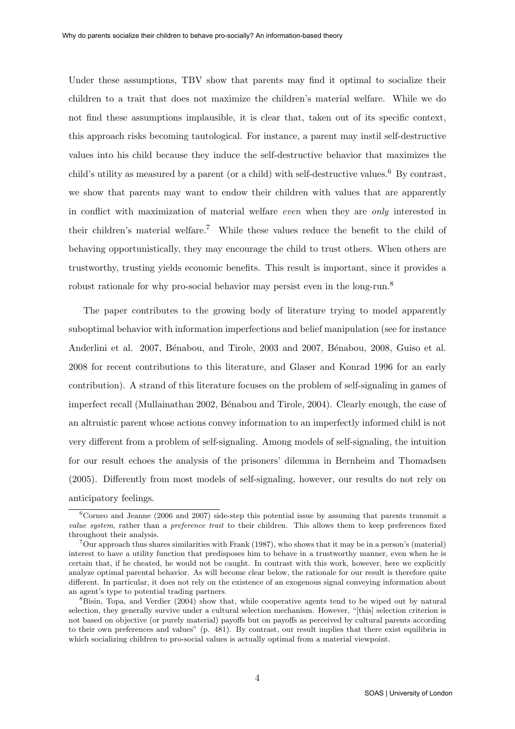Under these assumptions, TBV show that parents may find it optimal to socialize their children to a trait that does not maximize the children's material welfare. While we do not find these assumptions implausible, it is clear that, taken out of its specific context, this approach risks becoming tautological. For instance, a parent may instil self-destructive values into his child because they induce the self-destructive behavior that maximizes the child's utility as measured by a parent (or a child) with self-destructive values.<sup>6</sup> By contrast, we show that parents may want to endow their children with values that are apparently in conflict with maximization of material welfare even when they are only interested in their children's material welfare.<sup>7</sup> While these values reduce the benefit to the child of behaving opportunistically, they may encourage the child to trust others. When others are trustworthy, trusting yields economic benefits. This result is important, since it provides a robust rationale for why pro-social behavior may persist even in the long-run.<sup>8</sup>

The paper contributes to the growing body of literature trying to model apparently suboptimal behavior with information imperfections and belief manipulation (see for instance Anderlini et al. 2007, Bénabou, and Tirole, 2003 and 2007, Bénabou, 2008, Guiso et al. 2008 for recent contributions to this literature, and Glaser and Konrad 1996 for an early contribution). A strand of this literature focuses on the problem of self-signaling in games of imperfect recall (Mullainathan 2002, Bénabou and Tirole, 2004). Clearly enough, the case of an altruistic parent whose actions convey information to an imperfectly informed child is not very different from a problem of self-signaling. Among models of self-signaling, the intuition for our result echoes the analysis of the prisoners' dilemma in Bernheim and Thomadsen (2005). Differently from most models of self-signaling, however, our results do not rely on anticipatory feelings.

 ${}^{6}$ Corneo and Jeanne (2006 and 2007) side-step this potential issue by assuming that parents transmit a value system, rather than a preference trait to their children. This allows them to keep preferences fixed throughout their analysis.

<sup>7</sup>Our approach thus shares similarities with Frank (1987), who shows that it may be in a person's (material) interest to have a utility function that predisposes him to behave in a trustworthy manner, even when he is certain that, if he cheated, he would not be caught. In contrast with this work, however, here we explicitly analyze optimal parental behavior. As will become clear below, the rationale for our result is therefore quite different. In particular, it does not rely on the existence of an exogenous signal conveying information about an agent's type to potential trading partners.

<sup>&</sup>lt;sup>8</sup>Bisin, Topa, and Verdier (2004) show that, while cooperative agents tend to be wiped out by natural selection, they generally survive under a cultural selection mechanism. However, "[this] selection criterion is not based on objective (or purely material) payoffs but on payoffs as perceived by cultural parents according to their own preferences and values" (p. 481). By contrast, our result implies that there exist equilibria in which socializing children to pro-social values is actually optimal from a material viewpoint.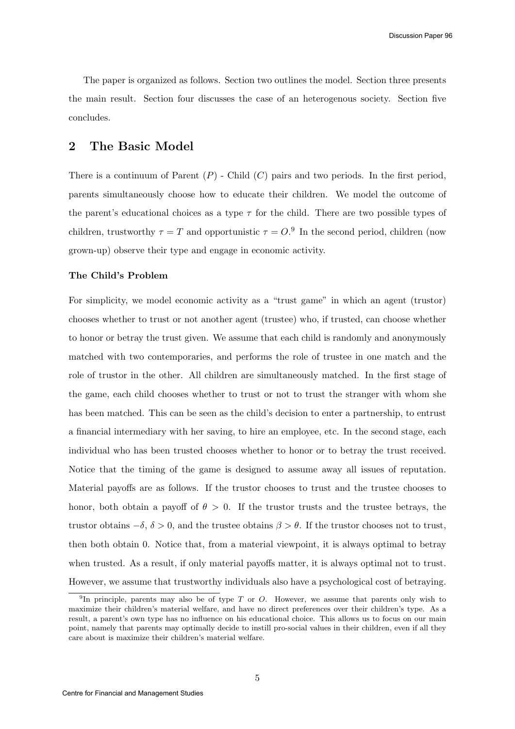The paper is organized as follows. Section two outlines the model. Section three presents the main result. Section four discusses the case of an heterogenous society. Section five concludes.

### 2 The Basic Model

There is a continuum of Parent  $(P)$  - Child  $(C)$  pairs and two periods. In the first period, parents simultaneously choose how to educate their children. We model the outcome of the parent's educational choices as a type  $\tau$  for the child. There are two possible types of children, trustworthy  $\tau = T$  and opportunistic  $\tau = O$ .<sup>9</sup> In the second period, children (now grown-up) observe their type and engage in economic activity.

#### The Child's Problem

For simplicity, we model economic activity as a "trust game" in which an agent (trustor) chooses whether to trust or not another agent (trustee) who, if trusted, can choose whether to honor or betray the trust given. We assume that each child is randomly and anonymously matched with two contemporaries, and performs the role of trustee in one match and the role of trustor in the other. All children are simultaneously matched. In the first stage of the game, each child chooses whether to trust or not to trust the stranger with whom she has been matched. This can be seen as the child's decision to enter a partnership, to entrust a financial intermediary with her saving, to hire an employee, etc. In the second stage, each individual who has been trusted chooses whether to honor or to betray the trust received. Notice that the timing of the game is designed to assume away all issues of reputation. Material payoffs are as follows. If the trustor chooses to trust and the trustee chooses to honor, both obtain a payoff of  $\theta > 0$ . If the trustor trusts and the trustee betrays, the trustor obtains  $-\delta$ ,  $\delta > 0$ , and the trustee obtains  $\beta > \theta$ . If the trustor chooses not to trust, then both obtain 0. Notice that, from a material viewpoint, it is always optimal to betray when trusted. As a result, if only material payoffs matter, it is always optimal not to trust. However, we assume that trustworthy individuals also have a psychological cost of betraying.

<sup>&</sup>lt;sup>9</sup>In principle, parents may also be of type T or O. However, we assume that parents only wish to maximize their children's material welfare, and have no direct preferences over their children's type. As a result, a parent's own type has no influence on his educational choice. This allows us to focus on our main point, namely that parents may optimally decide to instill pro-social values in their children, even if all they care about is maximize their children's material welfare.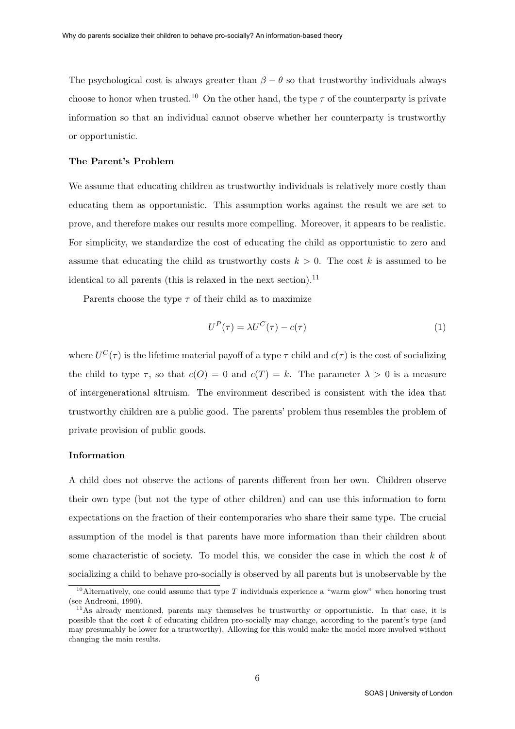The psychological cost is always greater than  $\beta - \theta$  so that trustworthy individuals always choose to honor when trusted.<sup>10</sup> On the other hand, the type  $\tau$  of the counterparty is private information so that an individual cannot observe whether her counterparty is trustworthy or opportunistic.

#### The Parent's Problem

We assume that educating children as trustworthy individuals is relatively more costly than educating them as opportunistic. This assumption works against the result we are set to prove, and therefore makes our results more compelling. Moreover, it appears to be realistic. For simplicity, we standardize the cost of educating the child as opportunistic to zero and assume that educating the child as trustworthy costs  $k > 0$ . The cost k is assumed to be identical to all parents (this is relaxed in the next section).<sup>11</sup>

Parents choose the type  $\tau$  of their child as to maximize

$$
U^{P}(\tau) = \lambda U^{C}(\tau) - c(\tau)
$$
\n(1)

where  $U^{C}(\tau)$  is the lifetime material payoff of a type  $\tau$  child and  $c(\tau)$  is the cost of socializing the child to type  $\tau$ , so that  $c(O) = 0$  and  $c(T) = k$ . The parameter  $\lambda > 0$  is a measure of intergenerational altruism. The environment described is consistent with the idea that trustworthy children are a public good. The parents' problem thus resembles the problem of private provision of public goods.

#### Information

A child does not observe the actions of parents different from her own. Children observe their own type (but not the type of other children) and can use this information to form expectations on the fraction of their contemporaries who share their same type. The crucial assumption of the model is that parents have more information than their children about some characteristic of society. To model this, we consider the case in which the cost  $k$  of socializing a child to behave pro-socially is observed by all parents but is unobservable by the

<sup>&</sup>lt;sup>10</sup>Alternatively, one could assume that type  $T$  individuals experience a "warm glow" when honoring trust (see Andreoni, 1990).

<sup>&</sup>lt;sup>11</sup>As already mentioned, parents may themselves be trustworthy or opportunistic. In that case, it is possible that the cost k of educating children pro-socially may change, according to the parent's type (and may presumably be lower for a trustworthy). Allowing for this would make the model more involved without changing the main results.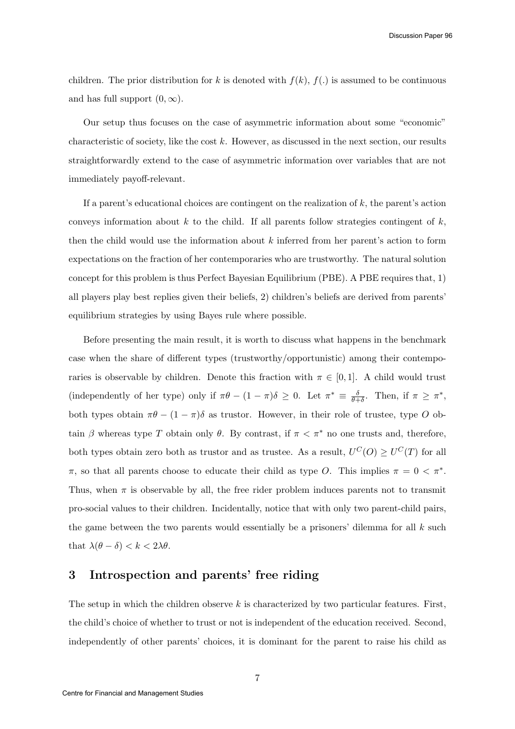Discussion Paper 96

children. The prior distribution for k is denoted with  $f(k)$ ,  $f(.)$  is assumed to be continuous and has full support  $(0, \infty)$ .

Our setup thus focuses on the case of asymmetric information about some "economic" characteristic of society, like the cost  $k$ . However, as discussed in the next section, our results straightforwardly extend to the case of asymmetric information over variables that are not immediately payoff-relevant.

If a parent's educational choices are contingent on the realization of  $k$ , the parent's action conveys information about  $k$  to the child. If all parents follow strategies contingent of  $k$ , then the child would use the information about  $k$  inferred from her parent's action to form expectations on the fraction of her contemporaries who are trustworthy. The natural solution concept for this problem is thus Perfect Bayesian Equilibrium (PBE). A PBE requires that, 1) all players play best replies given their beliefs, 2) children's beliefs are derived from parents' equilibrium strategies by using Bayes rule where possible.

Before presenting the main result, it is worth to discuss what happens in the benchmark case when the share of different types (trustworthy/opportunistic) among their contemporaries is observable by children. Denote this fraction with  $\pi \in [0,1]$ . A child would trust (independently of her type) only if  $\pi\theta - (1 - \pi)\delta \geq 0$ . Let  $\pi^* \equiv \frac{\delta}{\theta+1}$  $\frac{\delta}{\theta+\delta}$ . Then, if  $\pi \geq \pi^*$ , both types obtain  $\pi\theta - (1 - \pi)\delta$  as trustor. However, in their role of trustee, type O obtain  $\beta$  whereas type T obtain only  $\theta$ . By contrast, if  $\pi < \pi^*$  no one trusts and, therefore, both types obtain zero both as trustor and as trustee. As a result,  $U^C(O) \ge U^C(T)$  for all  $\pi$ , so that all parents choose to educate their child as type O. This implies  $\pi = 0 < \pi^*$ . Thus, when  $\pi$  is observable by all, the free rider problem induces parents not to transmit pro-social values to their children. Incidentally, notice that with only two parent-child pairs, the game between the two parents would essentially be a prisoners' dilemma for all  $k$  such that  $\lambda(\theta - \delta) < k < 2\lambda\theta$ .

### 3 Introspection and parents' free riding

The setup in which the children observe  $k$  is characterized by two particular features. First, the child's choice of whether to trust or not is independent of the education received. Second, independently of other parents' choices, it is dominant for the parent to raise his child as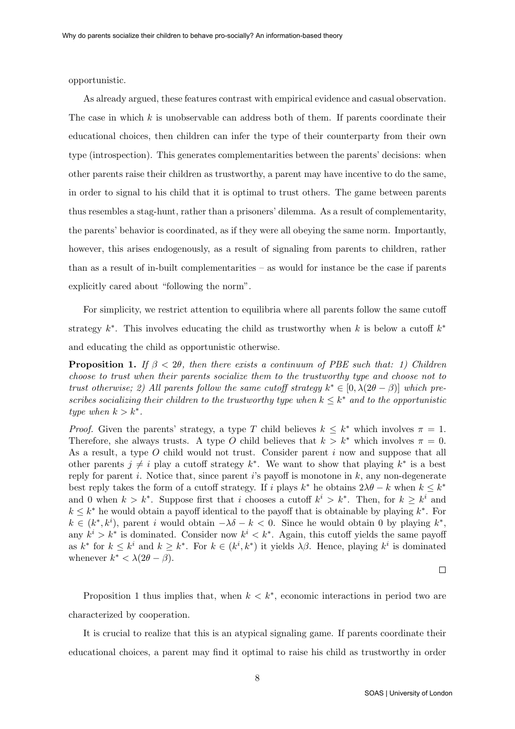opportunistic.

As already argued, these features contrast with empirical evidence and casual observation. The case in which  $k$  is unobservable can address both of them. If parents coordinate their educational choices, then children can infer the type of their counterparty from their own type (introspection). This generates complementarities between the parents' decisions: when other parents raise their children as trustworthy, a parent may have incentive to do the same, in order to signal to his child that it is optimal to trust others. The game between parents thus resembles a stag-hunt, rather than a prisoners' dilemma. As a result of complementarity, the parents' behavior is coordinated, as if they were all obeying the same norm. Importantly, however, this arises endogenously, as a result of signaling from parents to children, rather than as a result of in-built complementarities – as would for instance be the case if parents explicitly cared about "following the norm".

For simplicity, we restrict attention to equilibria where all parents follow the same cutoff strategy  $k^*$ . This involves educating the child as trustworthy when k is below a cutoff  $k^*$ and educating the child as opportunistic otherwise.

**Proposition 1.** If  $\beta < 2\theta$ , then there exists a continuum of PBE such that: 1) Children choose to trust when their parents socialize them to the trustworthy type and choose not to trust otherwise; 2) All parents follow the same cutoff strategy  $k^* \in [0, \lambda(2\theta - \beta)]$  which prescribes socializing their children to the trustworthy type when  $k \leq k^*$  and to the opportunistic type when  $k > k^*$ .

*Proof.* Given the parents' strategy, a type T child believes  $k \leq k^*$  which involves  $\pi = 1$ . Therefore, she always trusts. A type O child believes that  $k > k^*$  which involves  $\pi = 0$ . As a result, a type O child would not trust. Consider parent i now and suppose that all other parents  $j \neq i$  play a cutoff strategy  $k^*$ . We want to show that playing  $k^*$  is a best reply for parent i. Notice that, since parent i's payoff is monotone in  $k$ , any non-degenerate best reply takes the form of a cutoff strategy. If i plays  $k^*$  he obtains  $2\lambda\theta - k$  when  $k \leq k^*$ and 0 when  $k > k^*$ . Suppose first that i chooses a cutoff  $k^i > k^*$ . Then, for  $k \geq k^i$  and  $k \leq k^*$  he would obtain a payoff identical to the payoff that is obtainable by playing  $k^*$ . For  $k \in (k^*, k^i)$ , parent i would obtain  $-\lambda \delta - k < 0$ . Since he would obtain 0 by playing  $k^*$ , any  $k^i > k^*$  is dominated. Consider now  $k^i < k^*$ . Again, this cutoff yields the same payoff as  $k^*$  for  $k \leq k^i$  and  $k \geq k^*$ . For  $k \in (k^i, k^*)$  it yields  $\lambda \beta$ . Hence, playing  $k^i$  is dominated whenever  $k^* < \lambda(2\theta - \beta)$ .

 $\Box$ 

Proposition 1 thus implies that, when  $k < k^*$ , economic interactions in period two are characterized by cooperation.

It is crucial to realize that this is an atypical signaling game. If parents coordinate their educational choices, a parent may find it optimal to raise his child as trustworthy in order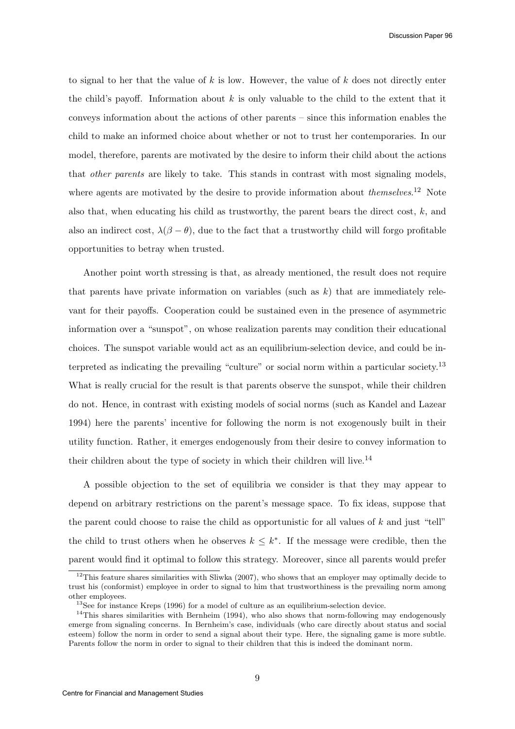to signal to her that the value of  $k$  is low. However, the value of  $k$  does not directly enter the child's payoff. Information about  $k$  is only valuable to the child to the extent that it conveys information about the actions of other parents – since this information enables the child to make an informed choice about whether or not to trust her contemporaries. In our model, therefore, parents are motivated by the desire to inform their child about the actions that other parents are likely to take. This stands in contrast with most signaling models, where agents are motivated by the desire to provide information about *themselves*.<sup>12</sup> Note also that, when educating his child as trustworthy, the parent bears the direct cost,  $k$ , and also an indirect cost,  $\lambda(\beta - \theta)$ , due to the fact that a trustworthy child will forgo profitable opportunities to betray when trusted.

Another point worth stressing is that, as already mentioned, the result does not require that parents have private information on variables (such as  $k$ ) that are immediately relevant for their payoffs. Cooperation could be sustained even in the presence of asymmetric information over a "sunspot", on whose realization parents may condition their educational choices. The sunspot variable would act as an equilibrium-selection device, and could be interpreted as indicating the prevailing "culture" or social norm within a particular society.<sup>13</sup> What is really crucial for the result is that parents observe the sunspot, while their children do not. Hence, in contrast with existing models of social norms (such as Kandel and Lazear 1994) here the parents' incentive for following the norm is not exogenously built in their utility function. Rather, it emerges endogenously from their desire to convey information to their children about the type of society in which their children will live.<sup>14</sup>

A possible objection to the set of equilibria we consider is that they may appear to depend on arbitrary restrictions on the parent's message space. To fix ideas, suppose that the parent could choose to raise the child as opportunistic for all values of k and just "tell" the child to trust others when he observes  $k \leq k^*$ . If the message were credible, then the parent would find it optimal to follow this strategy. Moreover, since all parents would prefer

 $12$ This feature shares similarities with Sliwka (2007), who shows that an employer may optimally decide to trust his (conformist) employee in order to signal to him that trustworthiness is the prevailing norm among other employees.

<sup>&</sup>lt;sup>13</sup>See for instance Kreps (1996) for a model of culture as an equilibrium-selection device.

 $14$ This shares similarities with Bernheim (1994), who also shows that norm-following may endogenously emerge from signaling concerns. In Bernheim's case, individuals (who care directly about status and social esteem) follow the norm in order to send a signal about their type. Here, the signaling game is more subtle. Parents follow the norm in order to signal to their children that this is indeed the dominant norm.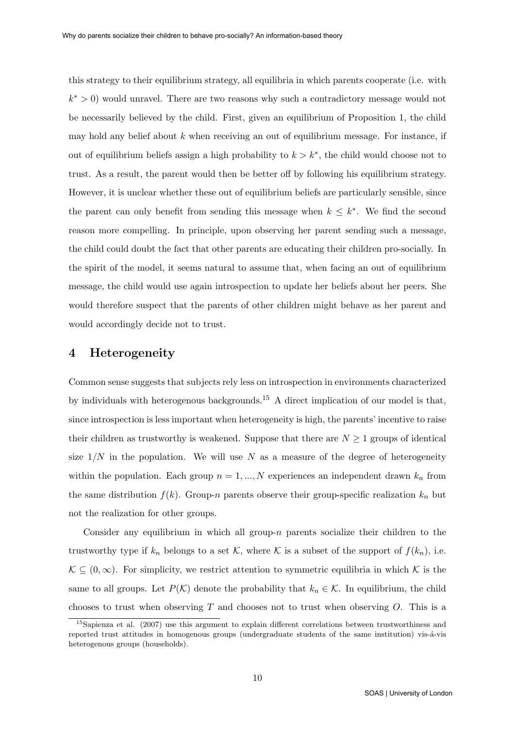this strategy to their equilibrium strategy, all equilibria in which parents cooperate (i.e. with  $k^* > 0$ ) would unravel. There are two reasons why such a contradictory message would not be necessarily believed by the child. First, given an equilibrium of Proposition 1, the child may hold any belief about  $k$  when receiving an out of equilibrium message. For instance, if out of equilibrium beliefs assign a high probability to  $k > k^*$ , the child would choose not to trust. As a result, the parent would then be better off by following his equilibrium strategy. However, it is unclear whether these out of equilibrium beliefs are particularly sensible, since the parent can only benefit from sending this message when  $k \leq k^*$ . We find the second reason more compelling. In principle, upon observing her parent sending such a message, the child could doubt the fact that other parents are educating their children pro-socially. In the spirit of the model, it seems natural to assume that, when facing an out of equilibrium message, the child would use again introspection to update her beliefs about her peers. She would therefore suspect that the parents of other children might behave as her parent and would accordingly decide not to trust.

#### 4 Heterogeneity

Common sense suggests that subjects rely less on introspection in environments characterized by individuals with heterogenous backgrounds.<sup>15</sup> A direct implication of our model is that, since introspection is less important when heterogeneity is high, the parents' incentive to raise their children as trustworthy is weakened. Suppose that there are  $N \geq 1$  groups of identical size  $1/N$  in the population. We will use N as a measure of the degree of heterogeneity within the population. Each group  $n = 1, ..., N$  experiences an independent drawn  $k_n$  from the same distribution  $f(k)$ . Group-n parents observe their group-specific realization  $k_n$  but not the realization for other groups.

Consider any equilibrium in which all group- $n$  parents socialize their children to the trustworthy type if  $k_n$  belongs to a set K, where K is a subset of the support of  $f(k_n)$ , i.e.  $\mathcal{K} \subseteq (0,\infty)$ . For simplicity, we restrict attention to symmetric equilibria in which K is the same to all groups. Let  $P(\mathcal{K})$  denote the probability that  $k_n \in \mathcal{K}$ . In equilibrium, the child chooses to trust when observing  $T$  and chooses not to trust when observing  $O$ . This is a

<sup>15</sup>Sapienza et al. (2007) use this argument to explain different correlations between trustworthiness and reported trust attitudes in homogenous groups (undergraduate students of the same institution) vis-á-vis heterogenous groups (households).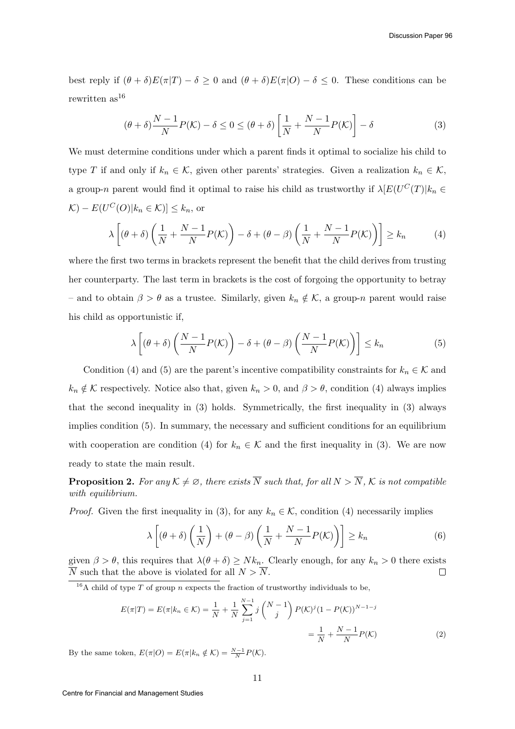best reply if  $(\theta + \delta)E(\pi|T) - \delta \geq 0$  and  $(\theta + \delta)E(\pi|O) - \delta \leq 0$ . These conditions can be rewritten  $as^{16}$ 

$$
(\theta + \delta) \frac{N-1}{N} P(K) - \delta \le 0 \le (\theta + \delta) \left[ \frac{1}{N} + \frac{N-1}{N} P(K) \right] - \delta
$$
 (3)

We must determine conditions under which a parent finds it optimal to socialize his child to type T if and only if  $k_n \in \mathcal{K}$ , given other parents' strategies. Given a realization  $k_n \in \mathcal{K}$ , a group-n parent would find it optimal to raise his child as trustworthy if  $\lambda[E(U^C(T)|k_n \in$  $|\mathcal{K}) - E(U^C(O)|k_n \in \mathcal{K})] \leq k_n$ , or

$$
\lambda \left[ (\theta + \delta) \left( \frac{1}{N} + \frac{N-1}{N} P(K) \right) - \delta + (\theta - \beta) \left( \frac{1}{N} + \frac{N-1}{N} P(K) \right) \right] \ge k_n \tag{4}
$$

where the first two terms in brackets represent the benefit that the child derives from trusting her counterparty. The last term in brackets is the cost of forgoing the opportunity to betray – and to obtain  $\beta > \theta$  as a trustee. Similarly, given  $k_n \notin \mathcal{K}$ , a group-n parent would raise his child as opportunistic if,

$$
\lambda \left[ (\theta + \delta) \left( \frac{N-1}{N} P(\mathcal{K}) \right) - \delta + (\theta - \beta) \left( \frac{N-1}{N} P(\mathcal{K}) \right) \right] \le k_n \tag{5}
$$

Condition (4) and (5) are the parent's incentive compatibility constraints for  $k_n \in \mathcal{K}$  and  $k_n \notin \mathcal{K}$  respectively. Notice also that, given  $k_n > 0$ , and  $\beta > \theta$ , condition (4) always implies that the second inequality in (3) holds. Symmetrically, the first inequality in (3) always implies condition (5). In summary, the necessary and sufficient conditions for an equilibrium with cooperation are condition (4) for  $k_n \in \mathcal{K}$  and the first inequality in (3). We are now ready to state the main result.

**Proposition 2.** For any  $K \neq \emptyset$ , there exists  $\overline{N}$  such that, for all  $N > \overline{N}$ ,  $K$  is not compatible with equilibrium.

*Proof.* Given the first inequality in (3), for any  $k_n \in \mathcal{K}$ , condition (4) necessarily implies

$$
\lambda \left[ (\theta + \delta) \left( \frac{1}{N} \right) + (\theta - \beta) \left( \frac{1}{N} + \frac{N-1}{N} P(K) \right) \right] \ge k_n \tag{6}
$$

given  $\beta > \theta$ , this requires that  $\lambda(\theta + \delta) \ge N k_n$ . Clearly enough, for any  $k_n > 0$  there exists  $\overline{N}$  such that the above is violated for all  $N > \overline{N}$ .  $\Box$ 

 $\frac{16}{16}$ A child of type T of group n expects the fraction of trustworthy individuals to be,

$$
E(\pi|T) = E(\pi|k_n \in \mathcal{K}) = \frac{1}{N} + \frac{1}{N} \sum_{j=1}^{N-1} j\binom{N-1}{j} P(\mathcal{K})^j (1 - P(\mathcal{K}))^{N-1-j}
$$

$$
= \frac{1}{N} + \frac{N-1}{N} P(\mathcal{K})
$$
(2)

By the same token,  $E(\pi|O) = E(\pi|k_n \notin \mathcal{K}) = \frac{N-1}{N}P(\mathcal{K}).$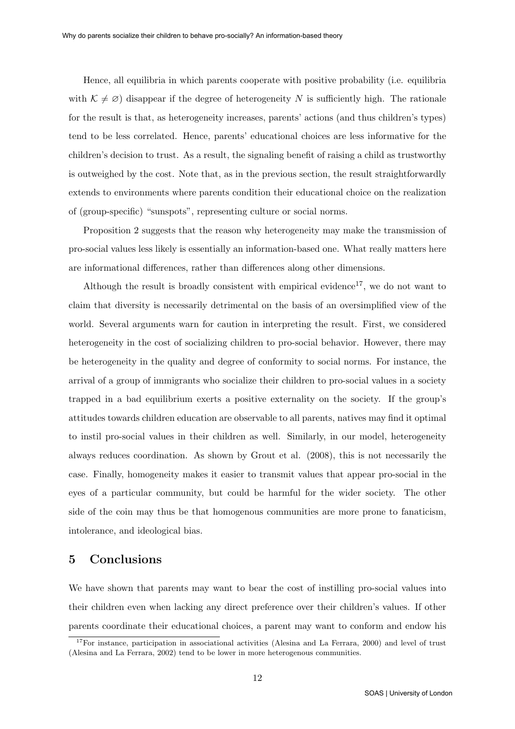Hence, all equilibria in which parents cooperate with positive probability (i.e. equilibria with  $\mathcal{K} \neq \emptyset$  disappear if the degree of heterogeneity N is sufficiently high. The rationale for the result is that, as heterogeneity increases, parents' actions (and thus children's types) tend to be less correlated. Hence, parents' educational choices are less informative for the children's decision to trust. As a result, the signaling benefit of raising a child as trustworthy is outweighed by the cost. Note that, as in the previous section, the result straightforwardly extends to environments where parents condition their educational choice on the realization of (group-specific) "sunspots", representing culture or social norms.

Proposition 2 suggests that the reason why heterogeneity may make the transmission of pro-social values less likely is essentially an information-based one. What really matters here are informational differences, rather than differences along other dimensions.

Although the result is broadly consistent with empirical evidence<sup>17</sup>, we do not want to claim that diversity is necessarily detrimental on the basis of an oversimplified view of the world. Several arguments warn for caution in interpreting the result. First, we considered heterogeneity in the cost of socializing children to pro-social behavior. However, there may be heterogeneity in the quality and degree of conformity to social norms. For instance, the arrival of a group of immigrants who socialize their children to pro-social values in a society trapped in a bad equilibrium exerts a positive externality on the society. If the group's attitudes towards children education are observable to all parents, natives may find it optimal to instil pro-social values in their children as well. Similarly, in our model, heterogeneity always reduces coordination. As shown by Grout et al. (2008), this is not necessarily the case. Finally, homogeneity makes it easier to transmit values that appear pro-social in the eyes of a particular community, but could be harmful for the wider society. The other side of the coin may thus be that homogenous communities are more prone to fanaticism, intolerance, and ideological bias.

### 5 Conclusions

We have shown that parents may want to bear the cost of instilling pro-social values into their children even when lacking any direct preference over their children's values. If other parents coordinate their educational choices, a parent may want to conform and endow his

 $17$ For instance, participation in associational activities (Alesina and La Ferrara, 2000) and level of trust (Alesina and La Ferrara, 2002) tend to be lower in more heterogenous communities.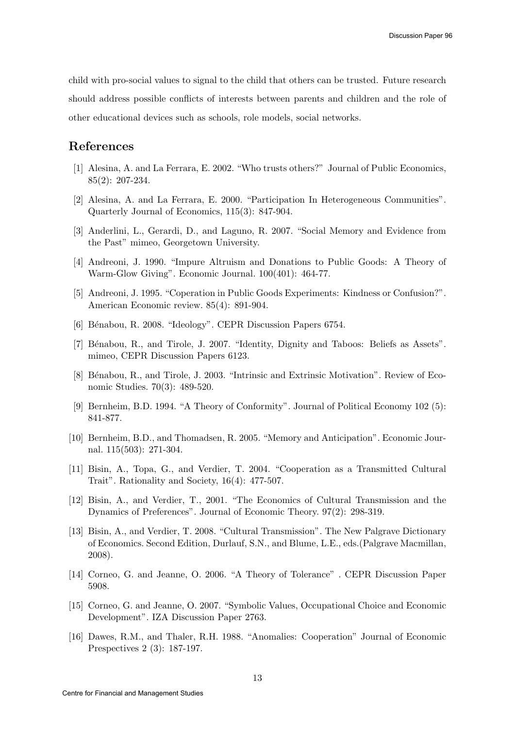child with pro-social values to signal to the child that others can be trusted. Future research should address possible conflicts of interests between parents and children and the role of other educational devices such as schools, role models, social networks.

## References

- [1] Alesina, A. and La Ferrara, E. 2002. "Who trusts others?" Journal of Public Economics, 85(2): 207-234.
- [2] Alesina, A. and La Ferrara, E. 2000. "Participation In Heterogeneous Communities". Quarterly Journal of Economics, 115(3): 847-904.
- [3] Anderlini, L., Gerardi, D., and Laguno, R. 2007. "Social Memory and Evidence from the Past" mimeo, Georgetown University.
- [4] Andreoni, J. 1990. "Impure Altruism and Donations to Public Goods: A Theory of Warm-Glow Giving". Economic Journal. 100(401): 464-77.
- [5] Andreoni, J. 1995. "Coperation in Public Goods Experiments: Kindness or Confusion?". American Economic review. 85(4): 891-904.
- [6] Bénabou, R. 2008. "Ideology". CEPR Discussion Papers 6754.
- [7] Bénabou, R., and Tirole, J. 2007. "Identity, Dignity and Taboos: Beliefs as Assets". mimeo, CEPR Discussion Papers 6123.
- [8] Bénabou, R., and Tirole, J. 2003. "Intrinsic and Extrinsic Motivation". Review of Economic Studies. 70(3): 489-520.
- [9] Bernheim, B.D. 1994. "A Theory of Conformity". Journal of Political Economy 102 (5): 841-877.
- [10] Bernheim, B.D., and Thomadsen, R. 2005. "Memory and Anticipation". Economic Journal. 115(503): 271-304.
- [11] Bisin, A., Topa, G., and Verdier, T. 2004. "Cooperation as a Transmitted Cultural Trait". Rationality and Society, 16(4): 477-507.
- [12] Bisin, A., and Verdier, T., 2001. "The Economics of Cultural Transmission and the Dynamics of Preferences". Journal of Economic Theory. 97(2): 298-319.
- [13] Bisin, A., and Verdier, T. 2008. "Cultural Transmission". The New Palgrave Dictionary of Economics. Second Edition, Durlauf, S.N., and Blume, L.E., eds.(Palgrave Macmillan, 2008).
- [14] Corneo, G. and Jeanne, O. 2006. "A Theory of Tolerance" . CEPR Discussion Paper 5908.
- [15] Corneo, G. and Jeanne, O. 2007. "Symbolic Values, Occupational Choice and Economic Development". IZA Discussion Paper 2763.
- [16] Dawes, R.M., and Thaler, R.H. 1988. "Anomalies: Cooperation" Journal of Economic Prespectives 2 (3): 187-197.